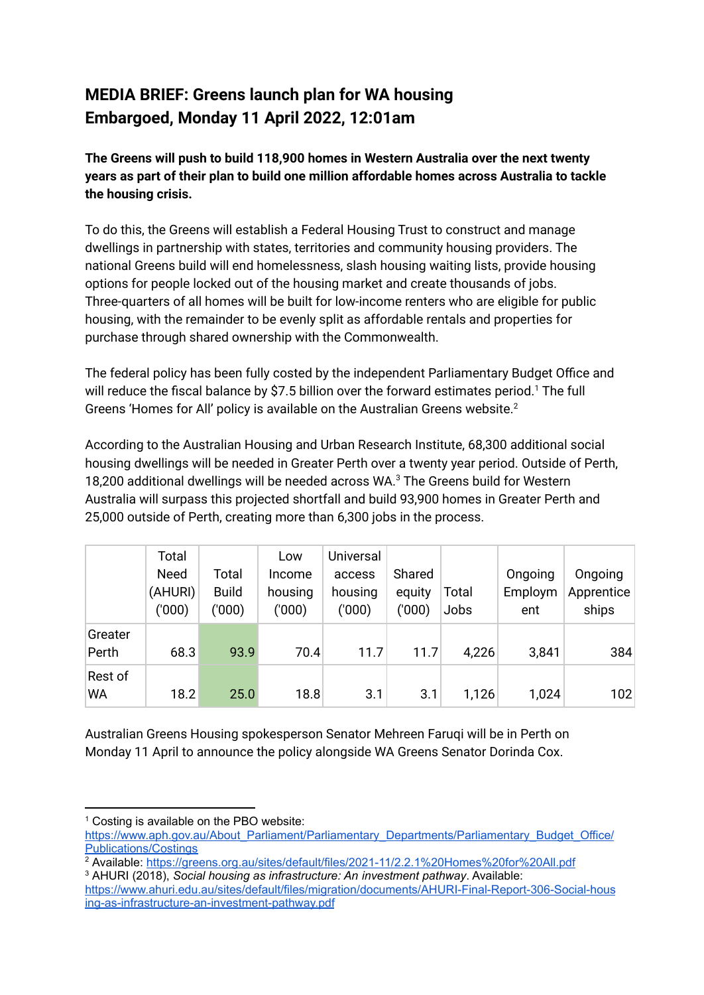## **MEDIA BRIEF: Greens launch plan for WA housing Embargoed, Monday 11 April 2022, 12:01am**

**The Greens will push to build 118,900 homes in Western Australia over the next twenty years as part of their plan to build one million affordable homes across Australia to tackle the housing crisis.**

To do this, the Greens will establish a Federal Housing Trust to construct and manage dwellings in partnership with states, territories and community housing providers. The national Greens build will end homelessness, slash housing waiting lists, provide housing options for people locked out of the housing market and create thousands of jobs. Three-quarters of all homes will be built for low-income renters who are eligible for public housing, with the remainder to be evenly split as affordable rentals and properties for purchase through shared ownership with the Commonwealth.

The federal policy has been fully costed by the independent Parliamentary Budget Office and will reduce the fiscal balance by \$7.5 billion over the forward estimates period.<sup>1</sup> The full Greens 'Homes for All' policy is available on the Australian Greens website. 2

According to the Australian Housing and Urban Research Institute, 68,300 additional social housing dwellings will be needed in Greater Perth over a twenty year period. Outside of Perth, 18,200 additional dwellings will be needed across WA. <sup>3</sup> The Greens build for Western Australia will surpass this projected shortfall and build 93,900 homes in Greater Perth and 25,000 outside of Perth, creating more than 6,300 jobs in the process.

|                      | Total<br><b>Need</b><br>(AHURI)<br>(000) | Total<br><b>Build</b><br>('000) | Low<br>Income<br>housing<br>(000) | Universal<br>access<br>housing<br>(000) | Shared<br>equity<br>('000) | Total<br>Jobs | Ongoing<br>Employm<br>ent | Ongoing<br>Apprentice<br>ships |
|----------------------|------------------------------------------|---------------------------------|-----------------------------------|-----------------------------------------|----------------------------|---------------|---------------------------|--------------------------------|
| Greater<br>Perth     | 68.3                                     | 93.9                            | 70.4                              | 11.7                                    | 11.7                       | 4,226         | 3,841                     | 384                            |
| Rest of<br><b>WA</b> | 18.2                                     | 25.0                            | 18.8                              | 3.1                                     | 3.1                        | 1,126         | 1,024                     | 102                            |

Australian Greens Housing spokesperson Senator Mehreen Faruqi will be in Perth on Monday 11 April to announce the policy alongside WA Greens Senator Dorinda Cox.

 $1$  Costing is available on the PBO website:

[https://www.aph.gov.au/About\\_Parliament/Parliamentary\\_Departments/Parliamentary\\_Budget\\_Office/](https://www.aph.gov.au/About_Parliament/Parliamentary_Departments/Parliamentary_Budget_Office/Publications/Costings) [Publications/Costings](https://www.aph.gov.au/About_Parliament/Parliamentary_Departments/Parliamentary_Budget_Office/Publications/Costings)

<sup>3</sup> AHURI (2018), *Social housing as infrastructure: An investment pathway*. Available: 2<br>Available: https://greens.org<u>.au/sites/default/files/2021-11/2.2.1%20Homes%20for%20All.pdf</u>

[https://www.ahuri.edu.au/sites/default/files/migration/documents/AHURI-Final-Report-306-Social-hous](https://www.ahuri.edu.au/sites/default/files/migration/documents/AHURI-Final-Report-306-Social-housing-as-infrastructure-an-investment-pathway.pdf) [ing-as-infrastructure-an-investment-pathway.pdf](https://www.ahuri.edu.au/sites/default/files/migration/documents/AHURI-Final-Report-306-Social-housing-as-infrastructure-an-investment-pathway.pdf)